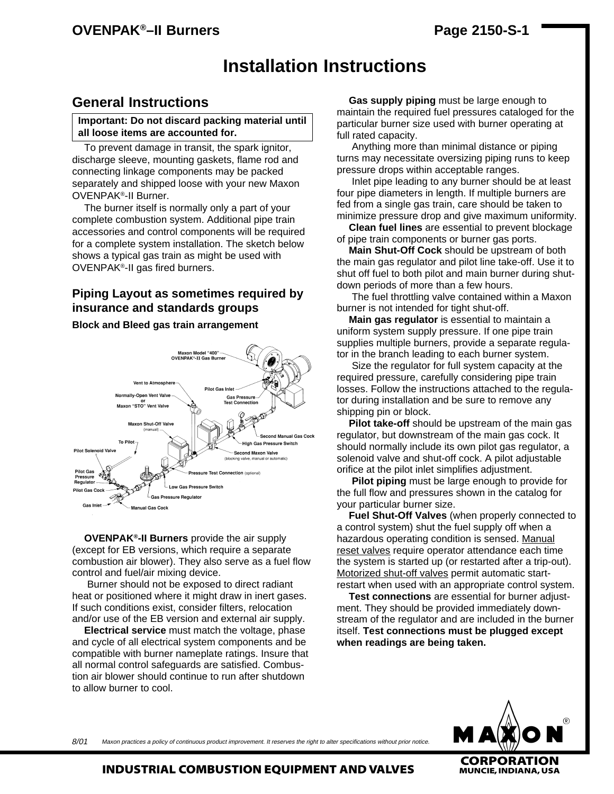## **OVENPAK Page 2150-S-1 ®–II Burners**

# **Installation Instructions**

### **General Instructions**

#### **Important: Do not discard packing material until all loose items are accounted for.**

To prevent damage in transit, the spark ignitor, discharge sleeve, mounting gaskets, flame rod and connecting linkage components may be packed separately and shipped loose with your new Maxon OVENPAK®-II Burner.

The burner itself is normally only a part of your complete combustion system. Additional pipe train accessories and control components will be required for a complete system installation. The sketch below shows a typical gas train as might be used with OVENPAK®-II gas fired burners.

### **Piping Layout as sometimes required by insurance and standards groups**

#### **Block and Bleed gas train arrangement**



**OVENPAK®-II Burners** provide the air supply (except for EB versions, which require a separate combustion air blower). They also serve as a fuel flow control and fuel/air mixing device.

Burner should not be exposed to direct radiant heat or positioned where it might draw in inert gases. If such conditions exist, consider filters, relocation and/or use of the EB version and external air supply.

**Electrical service** must match the voltage, phase and cycle of all electrical system components and be compatible with burner nameplate ratings. Insure that all normal control safeguards are satisfied. Combustion air blower should continue to run after shutdown to allow burner to cool.

**Gas supply piping** must be large enough to maintain the required fuel pressures cataloged for the particular burner size used with burner operating at full rated capacity.

Anything more than minimal distance or piping turns may necessitate oversizing piping runs to keep pressure drops within acceptable ranges.

Inlet pipe leading to any burner should be at least four pipe diameters in length. If multiple burners are fed from a single gas train, care should be taken to minimize pressure drop and give maximum uniformity.

**Clean fuel lines** are essential to prevent blockage of pipe train components or burner gas ports.

**Main Shut-Off Cock** should be upstream of both the main gas regulator and pilot line take-off. Use it to shut off fuel to both pilot and main burner during shutdown periods of more than a few hours.

The fuel throttling valve contained within a Maxon burner is not intended for tight shut-off.

**Main gas regulator** is essential to maintain a uniform system supply pressure. If one pipe train supplies multiple burners, provide a separate regulator in the branch leading to each burner system.

Size the regulator for full system capacity at the required pressure, carefully considering pipe train losses. Follow the instructions attached to the regulator during installation and be sure to remove any shipping pin or block.

**Pilot take-off** should be upstream of the main gas regulator, but downstream of the main gas cock. It should normally include its own pilot gas regulator, a solenoid valve and shut-off cock. A pilot adjustable orifice at the pilot inlet simplifies adjustment.

**Pilot piping** must be large enough to provide for the full flow and pressures shown in the catalog for your particular burner size.

**Fuel Shut-Off Valves** (when properly connected to a control system) shut the fuel supply off when a hazardous operating condition is sensed. Manual reset valves require operator attendance each time the system is started up (or restarted after a trip-out). Motorized shut-off valves permit automatic startrestart when used with an appropriate control system.

**Test connections** are essential for burner adjustment. They should be provided immediately downstream of the regulator and are included in the burner itself. **Test connections must be plugged except when readings are being taken.**



Maxon practices a policy of continuous product improvement. It reserves the right to alter specifications without prior notice. 8/01

**INDUSTRIAL COMBUSTION EQUIPMENT AND VALVES**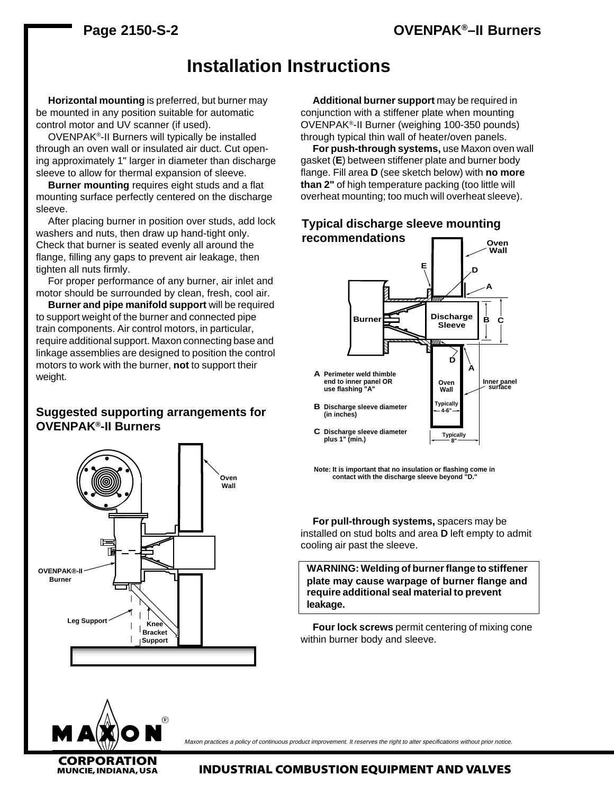### **Page 2150-S-2**

## **OVENPAK®–II Burners**

## **Installation Instructions**

**Horizontal mounting** is preferred, but burner may be mounted in any position suitable for automatic control motor and UV scanner (if used).

OVENPAK®-II Burners will typically be installed through an oven wall or insulated air duct. Cut opening approximately 1" larger in diameter than discharge sleeve to allow for thermal expansion of sleeve.

**Burner mounting** requires eight studs and a flat mounting surface perfectly centered on the discharge sleeve.

After placing burner in position over studs, add lock washers and nuts, then draw up hand-tight only. Check that burner is seated evenly all around the flange, filling any gaps to prevent air leakage, then tighten all nuts firmly.

For proper performance of any burner, air inlet and motor should be surrounded by clean, fresh, cool air.

**Burner and pipe manifold support** will be required to support weight of the burner and connected pipe train components. Air control motors, in particular, require additional support. Maxon connecting base and linkage assemblies are designed to position the control motors to work with the burner, **not** to support their weight.

#### **Suggested supporting arrangements for OVENPAK®-II Burners**





**CORPORATION**

Maxon practices a policy of continuous product improvement. It reserves the right to alter specifications without prior notice.

**Additional burner support** may be required in conjunction with a stiffener plate when mounting OVENPAK®-II Burner (weighing 100-350 pounds) through typical thin wall of heater/oven panels.

**For push-through systems,** use Maxon oven wall gasket (**E**) between stiffener plate and burner body flange. Fill area **D** (see sketch below) with **no more than 2"** of high temperature packing (too little will overheat mounting; too much will overheat sleeve).



**Note: It is important that no insulation or flashing come in contact with the discharge sleeve beyond "D."**

**For pull-through systems,** spacers may be installed on stud bolts and area **D** left empty to admit cooling air past the sleeve.

**WARNING: Welding of burner flange to stiffener plate may cause warpage of burner flange and require additional seal material to prevent leakage.**

**Four lock screws** permit centering of mixing cone within burner body and sleeve.

**INDUSTRIAL COMBUSTION EQUIPMENT AND VALVES**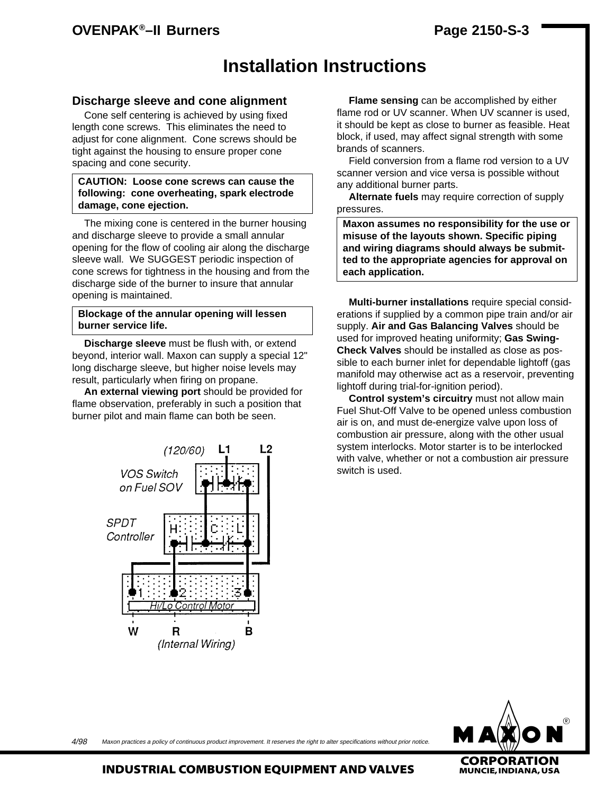## **OVENPAK®–II Burners**

# **Installation Instructions**

#### **Discharge sleeve and cone alignment**

Cone self centering is achieved by using fixed length cone screws. This eliminates the need to adjust for cone alignment. Cone screws should be tight against the housing to ensure proper cone spacing and cone security.

#### **CAUTION: Loose cone screws can cause the following: cone overheating, spark electrode damage, cone ejection.**

The mixing cone is centered in the burner housing and discharge sleeve to provide a small annular opening for the flow of cooling air along the discharge sleeve wall. We SUGGEST periodic inspection of cone screws for tightness in the housing and from the discharge side of the burner to insure that annular opening is maintained.

#### **Blockage of the annular opening will lessen burner service life.**

**Discharge sleeve** must be flush with, or extend beyond, interior wall. Maxon can supply a special 12" long discharge sleeve, but higher noise levels may result, particularly when firing on propane.

**An external viewing port** should be provided for flame observation, preferably in such a position that burner pilot and main flame can both be seen.



**Flame sensing** can be accomplished by either flame rod or UV scanner. When UV scanner is used, it should be kept as close to burner as feasible. Heat block, if used, may affect signal strength with some brands of scanners.

Field conversion from a flame rod version to a UV scanner version and vice versa is possible without any additional burner parts.

**Alternate fuels** may require correction of supply pressures.

**Maxon assumes no responsibility for the use or misuse of the layouts shown. Specific piping and wiring diagrams should always be submitted to the appropriate agencies for approval on each application.**

**Multi-burner installations** require special considerations if supplied by a common pipe train and/or air supply. **Air and Gas Balancing Valves** should be used for improved heating uniformity; **Gas Swing-Check Valves** should be installed as close as possible to each burner inlet for dependable lightoff (gas manifold may otherwise act as a reservoir, preventing lightoff during trial-for-ignition period).

**Control system's circuitry** must not allow main Fuel Shut-Off Valve to be opened unless combustion air is on, and must de-energize valve upon loss of combustion air pressure, along with the other usual system interlocks. Motor starter is to be interlocked with valve, whether or not a combustion air pressure switch is used.



Maxon practices a policy of continuous product improvement. It reserves the right to alter specifications without prior notice. 4/98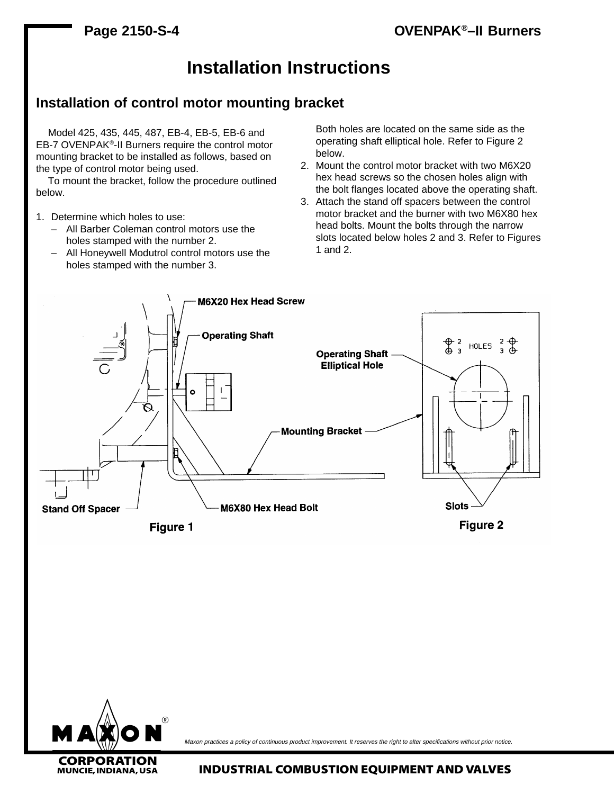# **Installation Instructions**

## **Installation of control motor mounting bracket**

Model 425, 435, 445, 487, EB-4, EB-5, EB-6 and EB-7 OVENPAK®-II Burners require the control motor mounting bracket to be installed as follows, based on the type of control motor being used.

To mount the bracket, follow the procedure outlined below.

- 1. Determine which holes to use:
	- All Barber Coleman control motors use the holes stamped with the number 2.
	- All Honeywell Modutrol control motors use the holes stamped with the number 3.

Both holes are located on the same side as the operating shaft elliptical hole. Refer to Figure 2 below.

- 2. Mount the control motor bracket with two M6X20 hex head screws so the chosen holes align with the bolt flanges located above the operating shaft.
- 3. Attach the stand off spacers between the control motor bracket and the burner with two M6X80 hex head bolts. Mount the bolts through the narrow slots located below holes 2 and 3. Refer to Figures 1 and 2.





Maxon practices a policy of continuous product improvement. It reserves the right to alter specifications without prior notice.

**MUNCIE, INDIANA, USA INDUSTRIAL COMBUSTION EQUIPMENT AND VALVES**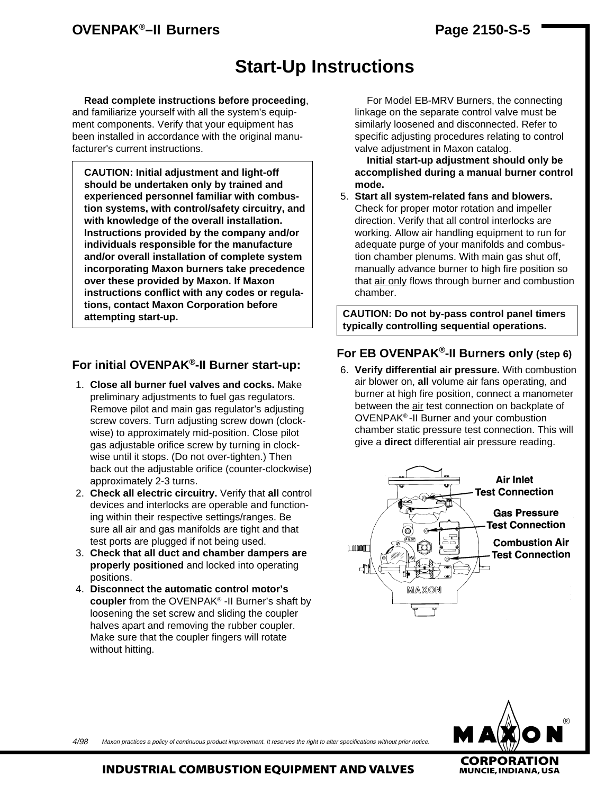## **OVENPAK®–II Burners**

# **Start-Up Instructions**

**Read complete instructions before proceeding**, and familiarize yourself with all the system's equipment components. Verify that your equipment has been installed in accordance with the original manufacturer's current instructions.

**CAUTION: Initial adjustment and light-off should be undertaken only by trained and experienced personnel familiar with combustion systems, with control/safety circuitry, and with knowledge of the overall installation. Instructions provided by the company and/or individuals responsible for the manufacture and/or overall installation of complete system incorporating Maxon burners take precedence over these provided by Maxon. If Maxon instructions conflict with any codes or regulations, contact Maxon Corporation before attempting start-up.**

### **For initial OVENPAK®-II Burner start-up:**

- 1. **Close all burner fuel valves and cocks.** Make preliminary adjustments to fuel gas regulators. Remove pilot and main gas regulator's adjusting screw covers. Turn adjusting screw down (clockwise) to approximately mid-position. Close pilot gas adjustable orifice screw by turning in clockwise until it stops. (Do not over-tighten.) Then back out the adjustable orifice (counter-clockwise) approximately 2-3 turns.
- 2. **Check all electric circuitry.** Verify that **all** control devices and interlocks are operable and functioning within their respective settings/ranges. Be sure all air and gas manifolds are tight and that test ports are plugged if not being used.
- 3. **Check that all duct and chamber dampers are properly positioned** and locked into operating positions.
- 4. **Disconnect the automatic control motor's coupler** from the OVENPAK® -II Burner's shaft by loosening the set screw and sliding the coupler halves apart and removing the rubber coupler. Make sure that the coupler fingers will rotate without hitting.

For Model EB-MRV Burners, the connecting linkage on the separate control valve must be similarly loosened and disconnected. Refer to specific adjusting procedures relating to control valve adjustment in Maxon catalog.

**Initial start-up adjustment should only be accomplished during a manual burner control mode.**

5. **Start all system-related fans and blowers.** Check for proper motor rotation and impeller direction. Verify that all control interlocks are working. Allow air handling equipment to run for adequate purge of your manifolds and combustion chamber plenums. With main gas shut off, manually advance burner to high fire position so that air only flows through burner and combustion chamber.

**CAUTION: Do not by-pass control panel timers typically controlling sequential operations.**

### **For EB OVENPAK®-II Burners only (step 6)**

6. **Verify differential air pressure.** With combustion air blower on, **all** volume air fans operating, and burner at high fire position, connect a manometer between the air test connection on backplate of OVENPAK® -II Burner and your combustion chamber static pressure test connection. This will give a **direct** differential air pressure reading.





Maxon practices a policy of continuous product improvement. It reserves the right to alter specifications without prior notice. 4/98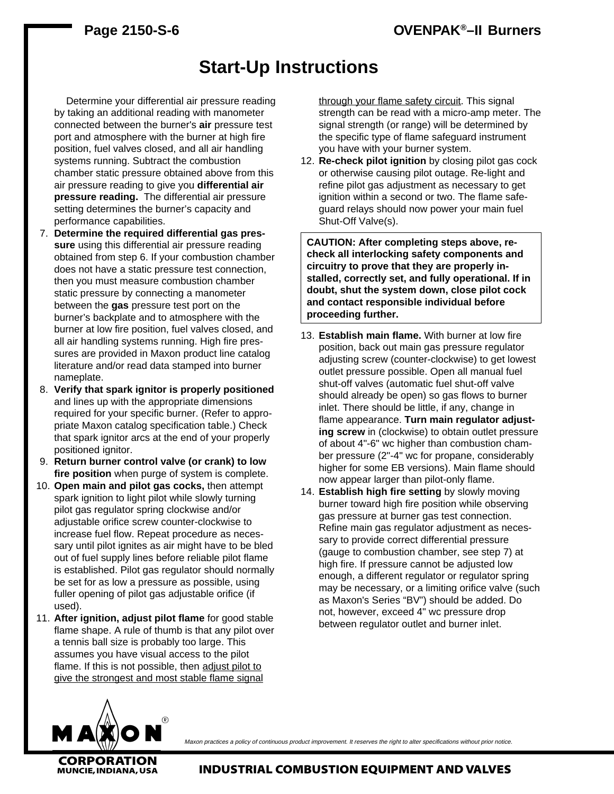# **Start-Up Instructions**

Determine your differential air pressure reading by taking an additional reading with manometer connected between the burner's **air** pressure test port and atmosphere with the burner at high fire position, fuel valves closed, and all air handling systems running. Subtract the combustion chamber static pressure obtained above from this air pressure reading to give you **differential air pressure reading.** The differential air pressure setting determines the burner's capacity and performance capabilities.

- 7. **Determine the required differential gas pressure** using this differential air pressure reading obtained from step 6. If your combustion chamber does not have a static pressure test connection, then you must measure combustion chamber static pressure by connecting a manometer between the **gas** pressure test port on the burner's backplate and to atmosphere with the burner at low fire position, fuel valves closed, and all air handling systems running. High fire pressures are provided in Maxon product line catalog literature and/or read data stamped into burner nameplate.
- 8. **Verify that spark ignitor is properly positioned** and lines up with the appropriate dimensions required for your specific burner. (Refer to appropriate Maxon catalog specification table.) Check that spark ignitor arcs at the end of your properly positioned ignitor.
- 9. **Return burner control valve (or crank) to low fire position** when purge of system is complete.
- 10. **Open main and pilot gas cocks,** then attempt spark ignition to light pilot while slowly turning pilot gas regulator spring clockwise and/or adjustable orifice screw counter-clockwise to increase fuel flow. Repeat procedure as necessary until pilot ignites as air might have to be bled out of fuel supply lines before reliable pilot flame is established. Pilot gas regulator should normally be set for as low a pressure as possible, using fuller opening of pilot gas adjustable orifice (if used).
- 11. **After ignition, adjust pilot flame** for good stable flame shape. A rule of thumb is that any pilot over a tennis ball size is probably too large. This assumes you have visual access to the pilot flame. If this is not possible, then adjust pilot to give the strongest and most stable flame signal

through your flame safety circuit. This signal strength can be read with a micro-amp meter. The signal strength (or range) will be determined by the specific type of flame safeguard instrument you have with your burner system.

12. **Re-check pilot ignition** by closing pilot gas cock or otherwise causing pilot outage. Re-light and refine pilot gas adjustment as necessary to get ignition within a second or two. The flame safeguard relays should now power your main fuel Shut-Off Valve(s).

**CAUTION: After completing steps above, recheck all interlocking safety components and circuitry to prove that they are properly installed, correctly set, and fully operational. If in doubt, shut the system down, close pilot cock and contact responsible individual before proceeding further.**

- 13. **Establish main flame.** With burner at low fire position, back out main gas pressure regulator adjusting screw (counter-clockwise) to get lowest outlet pressure possible. Open all manual fuel shut-off valves (automatic fuel shut-off valve should already be open) so gas flows to burner inlet. There should be little, if any, change in flame appearance. **Turn main regulator adjusting screw** in (clockwise) to obtain outlet pressure of about 4"-6" wc higher than combustion chamber pressure (2"-4" wc for propane, considerably higher for some EB versions). Main flame should now appear larger than pilot-only flame.
- 14. **Establish high fire setting** by slowly moving burner toward high fire position while observing gas pressure at burner gas test connection. Refine main gas regulator adjustment as necessary to provide correct differential pressure (gauge to combustion chamber, see step 7) at high fire. If pressure cannot be adjusted low enough, a different regulator or regulator spring may be necessary, or a limiting orifice valve (such as Maxon's Series "BV") should be added. Do not, however, exceed 4" wc pressure drop between regulator outlet and burner inlet.



Maxon practices a policy of continuous product improvement. It reserves the right to alter specifications without prior notice.

**INDUSTRIAL COMBUSTION EQUIPMENT AND VALVES**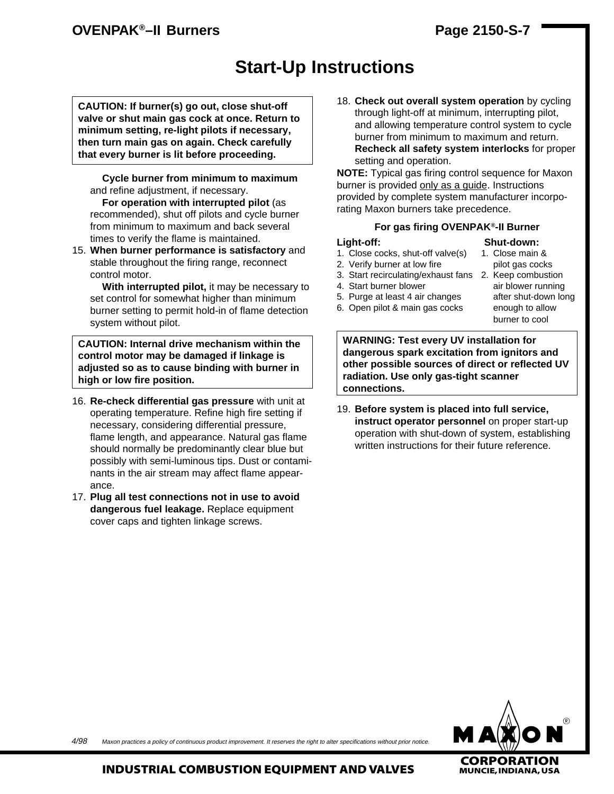## **OVENPAK®–II Burners**

## **Page 2150-S-7**

# **Start-Up Instructions**

**CAUTION: If burner(s) go out, close shut-off valve or shut main gas cock at once. Return to minimum setting, re-light pilots if necessary, then turn main gas on again. Check carefully that every burner is lit before proceeding.**

**Cycle burner from minimum to maximum** and refine adjustment, if necessary.

**For operation with interrupted pilot** (as recommended), shut off pilots and cycle burner from minimum to maximum and back several times to verify the flame is maintained.

15. **When burner performance is satisfactory** and stable throughout the firing range, reconnect control motor.

**With interrupted pilot,** it may be necessary to set control for somewhat higher than minimum burner setting to permit hold-in of flame detection system without pilot.

**CAUTION: Internal drive mechanism within the control motor may be damaged if linkage is adjusted so as to cause binding with burner in high or low fire position.**

- 16. **Re-check differential gas pressure** with unit at operating temperature. Refine high fire setting if necessary, considering differential pressure, flame length, and appearance. Natural gas flame should normally be predominantly clear blue but possibly with semi-luminous tips. Dust or contaminants in the air stream may affect flame appearance.
- 17. **Plug all test connections not in use to avoid dangerous fuel leakage.** Replace equipment cover caps and tighten linkage screws.

18. **Check out overall system operation** by cycling through light-off at minimum, interrupting pilot, and allowing temperature control system to cycle burner from minimum to maximum and return. **Recheck all safety system interlocks** for proper setting and operation.

**NOTE:** Typical gas firing control sequence for Maxon burner is provided only as a guide. Instructions provided by complete system manufacturer incorporating Maxon burners take precedence.

#### **For gas firing OVENPAK®-II Burner**

#### **Light-off: Shut-down:**

- 1. Close cocks, shut-off valve(s) 1. Close main &
- 2. Verify burner at low fire pilot gas cocks
- 3. Start recirculating/exhaust fans 2. Keep combustion
- 4. Start burner blower air blower running
- 5. Purge at least 4 air changes after shut-down long
- 6. Open pilot & main gas cocks enough to allow
- burner to cool

**WARNING: Test every UV installation for dangerous spark excitation from ignitors and other possible sources of direct or reflected UV radiation. Use only gas-tight scanner connections.**

19. **Before system is placed into full service, instruct operator personnel** on proper start-up operation with shut-down of system, establishing written instructions for their future reference.



Maxon practices a policy of continuous product improvement. It reserves the right to alter specifications without prior notice. 4/98